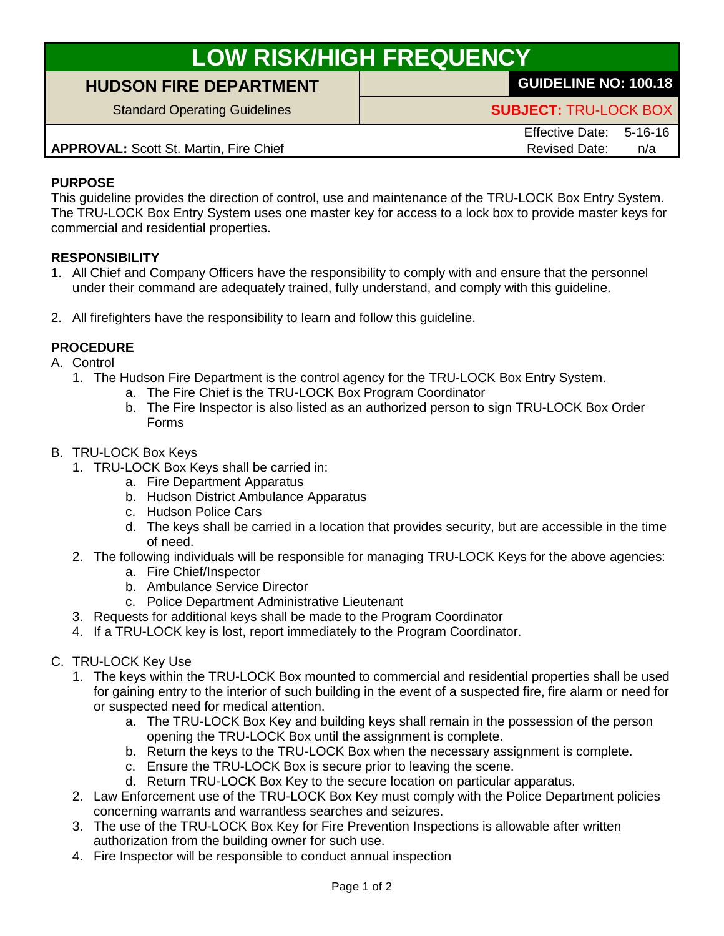# **LOW RISK/HIGH FREQUENCY**

## **HUDSON FIRE DEPARTMENT GUIDELINE NO: 100.18**

Standard Operating Guidelines **SUBJECT:** TRU-LOCK BOX

**APPROVAL:** Scott St. Martin, Fire Chief Revised Date: n/a

Effective Date: 5-16-16

### **PURPOSE**

This guideline provides the direction of control, use and maintenance of the TRU-LOCK Box Entry System. The TRU-LOCK Box Entry System uses one master key for access to a lock box to provide master keys for commercial and residential properties.

### **RESPONSIBILITY**

- 1. All Chief and Company Officers have the responsibility to comply with and ensure that the personnel under their command are adequately trained, fully understand, and comply with this guideline.
- 2. All firefighters have the responsibility to learn and follow this guideline.

### **PROCEDURE**

- A. Control
	- 1. The Hudson Fire Department is the control agency for the TRU-LOCK Box Entry System.
		- a. The Fire Chief is the TRU-LOCK Box Program Coordinator
		- b. The Fire Inspector is also listed as an authorized person to sign TRU-LOCK Box Order Forms

#### B. TRU-LOCK Box Keys

- 1. TRU-LOCK Box Keys shall be carried in:
	- a. Fire Department Apparatus
	- b. Hudson District Ambulance Apparatus
	- c. Hudson Police Cars
	- d. The keys shall be carried in a location that provides security, but are accessible in the time of need.
- 2. The following individuals will be responsible for managing TRU-LOCK Keys for the above agencies:
	- a. Fire Chief/Inspector
	- b. Ambulance Service Director
	- c. Police Department Administrative Lieutenant
- 3. Requests for additional keys shall be made to the Program Coordinator
- 4. If a TRU-LOCK key is lost, report immediately to the Program Coordinator.
- C. TRU-LOCK Key Use
	- 1. The keys within the TRU-LOCK Box mounted to commercial and residential properties shall be used for gaining entry to the interior of such building in the event of a suspected fire, fire alarm or need for or suspected need for medical attention.
		- a. The TRU-LOCK Box Key and building keys shall remain in the possession of the person opening the TRU-LOCK Box until the assignment is complete.
		- b. Return the keys to the TRU-LOCK Box when the necessary assignment is complete.
		- c. Ensure the TRU-LOCK Box is secure prior to leaving the scene.
		- d. Return TRU-LOCK Box Key to the secure location on particular apparatus.
	- 2. Law Enforcement use of the TRU-LOCK Box Key must comply with the Police Department policies concerning warrants and warrantless searches and seizures.
	- 3. The use of the TRU-LOCK Box Key for Fire Prevention Inspections is allowable after written authorization from the building owner for such use.
	- 4. Fire Inspector will be responsible to conduct annual inspection